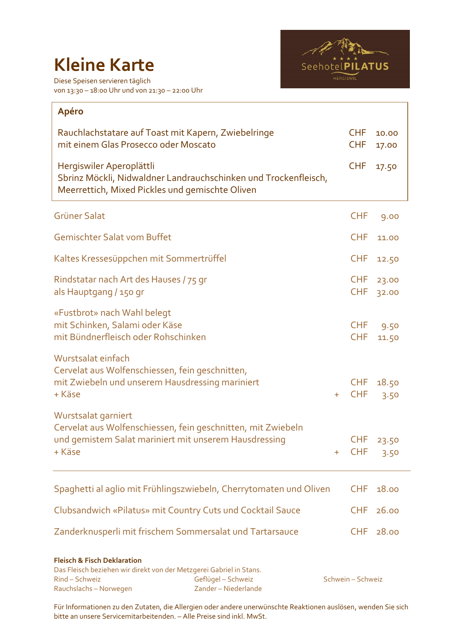## **Kleine Karte**





| Apéro                                                                                                                                                           |                          |                |
|-----------------------------------------------------------------------------------------------------------------------------------------------------------------|--------------------------|----------------|
| Rauchlachstatare auf Toast mit Kapern, Zwiebelringe<br>mit einem Glas Prosecco oder Moscato                                                                     | <b>CHF</b><br><b>CHF</b> | 10.00<br>17.00 |
| Hergiswiler Aperoplättli<br>Sbrinz Möckli, Nidwaldner Landrauchschinken und Trockenfleisch,<br>Meerrettich, Mixed Pickles und gemischte Oliven                  | <b>CHF</b>               | 17.50          |
| <b>Grüner Salat</b>                                                                                                                                             | <b>CHF</b>               | 9.00           |
| <b>Gemischter Salat vom Buffet</b>                                                                                                                              | <b>CHF</b>               | 11.00          |
| Kaltes Kressesüppchen mit Sommertrüffel                                                                                                                         | <b>CHF</b>               | 12.50          |
| Rindstatar nach Art des Hauses / 75 gr<br>als Hauptgang / 150 gr                                                                                                | <b>CHF</b><br><b>CHF</b> | 23.00<br>32.00 |
| «Fustbrot» nach Wahl belegt<br>mit Schinken, Salami oder Käse<br>mit Bündnerfleisch oder Rohschinken                                                            | <b>CHF</b><br><b>CHF</b> | 9.50<br>11.50  |
| Wurstsalat einfach<br>Cervelat aus Wolfenschiessen, fein geschnitten,<br>mit Zwiebeln und unserem Hausdressing mariniert<br>+ Käse<br>$+$                       | <b>CHF</b><br><b>CHF</b> | 18.50<br>3.50  |
| Wurstsalat garniert<br>Cervelat aus Wolfenschiessen, fein geschnitten, mit Zwiebeln<br>und gemistem Salat mariniert mit unserem Hausdressing<br>+ Käse<br>$\pm$ | <b>CHF</b><br><b>CHF</b> | 23.50<br>3.50  |
| Spaghetti al aglio mit Frühlingszwiebeln, Cherrytomaten und Oliven                                                                                              | <b>CHF</b>               | 18.00          |
| Clubsandwich «Pilatus» mit Country Cuts und Cocktail Sauce                                                                                                      | <b>CHF</b>               | 26.00          |
| Zanderknusperli mit frischem Sommersalat und Tartarsauce                                                                                                        | <b>CHF</b>               | 28.00          |
|                                                                                                                                                                 |                          |                |

## **Fleisch & Fisch Deklaration**

| Das Fleisch beziehen wir direkt von der Metzgerei Gabriel in Stans. |                      |                   |
|---------------------------------------------------------------------|----------------------|-------------------|
| Rind – Schweiz                                                      | Geflügel – Schweiz   | Schwein – Schweiz |
| Rauchslachs – Norwegen                                              | Zander – Niederlande |                   |

Für Informationen zu den Zutaten, die Allergien oder andere unerwünschte Reaktionen auslösen, wenden Sie sich bitte an unsere Servicemitarbeitenden. – Alle Preise sind inkl. MwSt.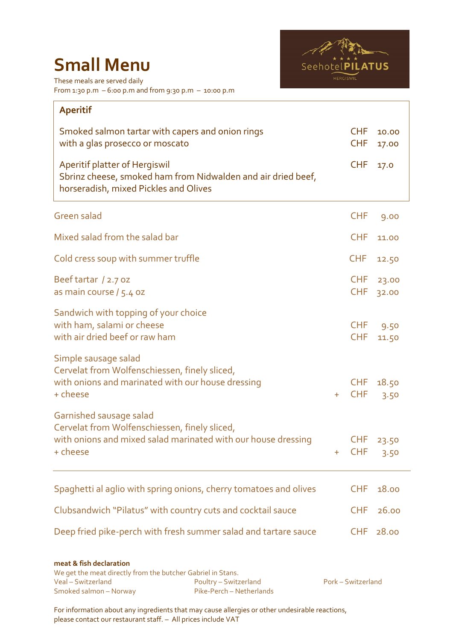## **Small Menu**



These meals are served daily From 1:30 p.m – 6:00 p.m and from 9:30 p.m – 10:00 p.m

| <b>Aperitif</b>                                                                                                                                       |       |                          |                |
|-------------------------------------------------------------------------------------------------------------------------------------------------------|-------|--------------------------|----------------|
| Smoked salmon tartar with capers and onion rings<br>with a glas prosecco or moscato                                                                   |       | <b>CHF</b><br><b>CHF</b> | 10.00<br>17.00 |
| Aperitif platter of Hergiswil<br>Sbrinz cheese, smoked ham from Nidwalden and air dried beef,<br>horseradish, mixed Pickles and Olives                |       | <b>CHF</b>               | 17.0           |
| <b>Green salad</b>                                                                                                                                    |       | <b>CHF</b>               | 9.00           |
| Mixed salad from the salad bar                                                                                                                        |       | <b>CHF</b>               | 11.00          |
| Cold cress soup with summer truffle                                                                                                                   |       | <b>CHF</b>               | 12.50          |
| Beef tartar / 2.7 oz<br>as main course / 5.4 oz                                                                                                       |       | <b>CHF</b><br><b>CHF</b> | 23.00<br>32.00 |
| Sandwich with topping of your choice<br>with ham, salami or cheese<br>with air dried beef or raw ham                                                  |       | <b>CHF</b><br><b>CHF</b> | 9.50<br>11.50  |
| Simple sausage salad<br>Cervelat from Wolfenschiessen, finely sliced,<br>with onions and marinated with our house dressing<br>+ cheese                | $+$   | <b>CHF</b><br><b>CHF</b> | 18.50<br>3.50  |
| Garnished sausage salad<br>Cervelat from Wolfenschiessen, finely sliced,<br>with onions and mixed salad marinated with our house dressing<br>+ cheese | $\pm$ | <b>CHF</b><br><b>CHF</b> | 23.50<br>3.50  |
| Spaghetti al aglio with spring onions, cherry tomatoes and olives                                                                                     |       | <b>CHF</b>               | 18.00          |
| Clubsandwich "Pilatus" with country cuts and cocktail sauce                                                                                           |       | <b>CHF</b>               | 26.00          |
| Deep fried pike-perch with fresh summer salad and tartare sauce                                                                                       |       | <b>CHF</b>               | 28.00          |
|                                                                                                                                                       |       |                          |                |

**meat & fish declaration** We get the meat directly from the butcher Gabriel in Stans. Veal – Switzerland Poultry – Switzerland Pork – Switzerland Smoked salmon – Norway

For information about any ingredients that may cause allergies or other undesirable reactions, please contact our restaurant staff. – All prices include VAT